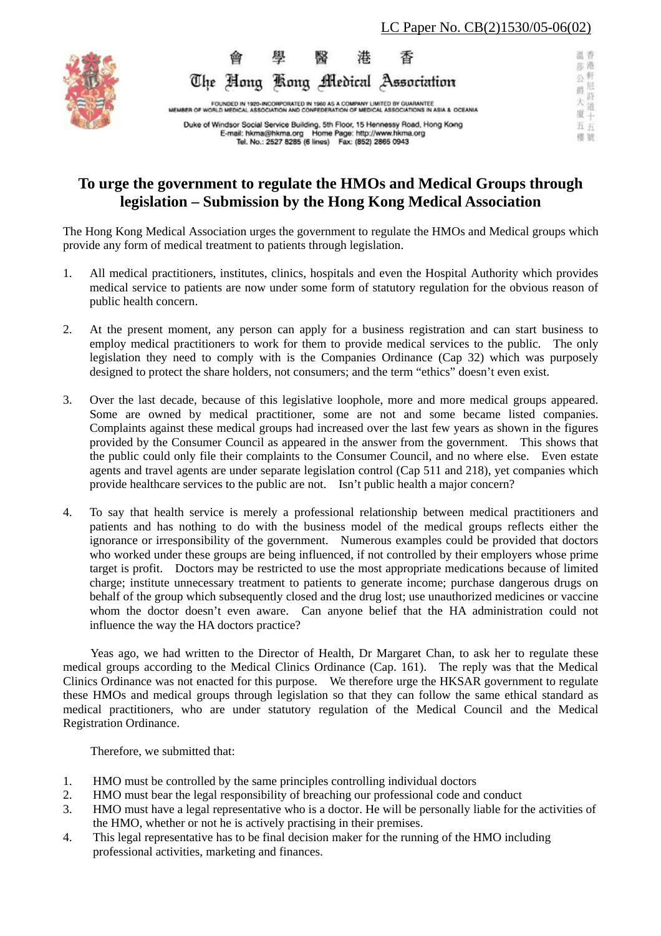

温香 舆 港 香 翳 莎港 公軒 The Hong Kong Medical Association 公尼思 詩 大 FOUNDED IN 1920-INCORPORATED IN 1960 AS A COMPANY LIMITED BY GUARANTEE<br>WORLD MEDICAL ASSOCIATION AND CONFEDERATION OF MEDICAL ASSOCIATIONS IN ASIA & OCEANIA 道 夏半 Duke of Windsor Social Service Building, 5th Floor, 15 Hennessy Road, Hong Kong **H** H E-mail: hkma@hkma.org Home Page: http://www.hkma.org<br>Tel. No.: 2527 8285 (6 lines) Fax: (852) 2865 0943 橙號

# **To urge the government to regulate the HMOs and Medical Groups through legislation – Submission by the Hong Kong Medical Association**

The Hong Kong Medical Association urges the government to regulate the HMOs and Medical groups which provide any form of medical treatment to patients through legislation.

- 1. All medical practitioners, institutes, clinics, hospitals and even the Hospital Authority which provides medical service to patients are now under some form of statutory regulation for the obvious reason of public health concern.
- 2. At the present moment, any person can apply for a business registration and can start business to employ medical practitioners to work for them to provide medical services to the public. The only legislation they need to comply with is the Companies Ordinance (Cap 32) which was purposely designed to protect the share holders, not consumers; and the term "ethics" doesn't even exist.
- 3. Over the last decade, because of this legislative loophole, more and more medical groups appeared. Some are owned by medical practitioner, some are not and some became listed companies. Complaints against these medical groups had increased over the last few years as shown in the figures provided by the Consumer Council as appeared in the answer from the government. This shows that the public could only file their complaints to the Consumer Council, and no where else. Even estate agents and travel agents are under separate legislation control (Cap 511 and 218), yet companies which provide healthcare services to the public are not. Isn't public health a major concern?
- 4. To say that health service is merely a professional relationship between medical practitioners and patients and has nothing to do with the business model of the medical groups reflects either the ignorance or irresponsibility of the government. Numerous examples could be provided that doctors who worked under these groups are being influenced, if not controlled by their employers whose prime target is profit. Doctors may be restricted to use the most appropriate medications because of limited charge; institute unnecessary treatment to patients to generate income; purchase dangerous drugs on behalf of the group which subsequently closed and the drug lost; use unauthorized medicines or vaccine whom the doctor doesn't even aware. Can anyone belief that the HA administration could not influence the way the HA doctors practice?

Yeas ago, we had written to the Director of Health, Dr Margaret Chan, to ask her to regulate these medical groups according to the Medical Clinics Ordinance (Cap. 161). The reply was that the Medical Clinics Ordinance was not enacted for this purpose. We therefore urge the HKSAR government to regulate these HMOs and medical groups through legislation so that they can follow the same ethical standard as medical practitioners, who are under statutory regulation of the Medical Council and the Medical Registration Ordinance.

Therefore, we submitted that:

- 1. HMO must be controlled by the same principles controlling individual doctors
- 2. HMO must bear the legal responsibility of breaching our professional code and conduct
- 3. HMO must have a legal representative who is a doctor. He will be personally liable for the activities of the HMO, whether or not he is actively practising in their premises.
- 4. This legal representative has to be final decision maker for the running of the HMO including professional activities, marketing and finances.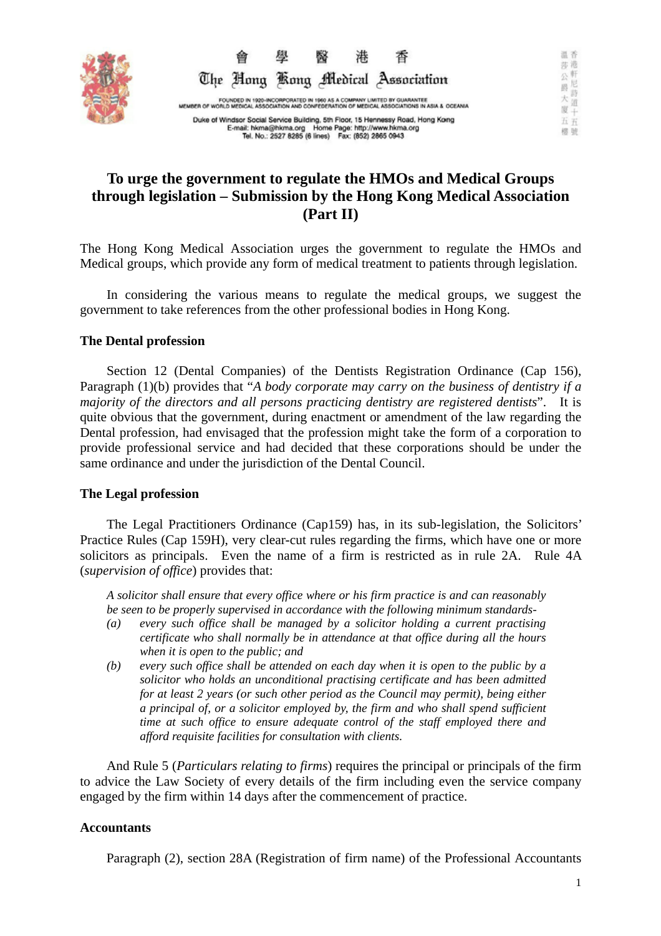



Duke of Windsor Social Service Building, 5th Floor, 15 Hennessy Road, Hong Kong<br>E-mail: hkma@hkma.org Home Page: http://www.hkma.org<br>Tel. No.: 2527 8285 (6 lines) Fax: (852) 2865 0943

# **To urge the government to regulate the HMOs and Medical Groups through legislation – Submission by the Hong Kong Medical Association (Part II)**

The Hong Kong Medical Association urges the government to regulate the HMOs and Medical groups, which provide any form of medical treatment to patients through legislation.

In considering the various means to regulate the medical groups, we suggest the government to take references from the other professional bodies in Hong Kong.

## **The Dental profession**

Section 12 (Dental Companies) of the Dentists Registration Ordinance (Cap 156), Paragraph (1)(b) provides that "*A body corporate may carry on the business of dentistry if a majority of the directors and all persons practicing dentistry are registered dentists*". It is quite obvious that the government, during enactment or amendment of the law regarding the Dental profession, had envisaged that the profession might take the form of a corporation to provide professional service and had decided that these corporations should be under the same ordinance and under the jurisdiction of the Dental Council.

## **The Legal profession**

The Legal Practitioners Ordinance (Cap159) has, in its sub-legislation, the Solicitors' Practice Rules (Cap 159H), very clear-cut rules regarding the firms, which have one or more solicitors as principals. Even the name of a firm is restricted as in rule 2A. Rule 4A (*supervision of office*) provides that:

*A solicitor shall ensure that every office where or his firm practice is and can reasonably be seen to be properly supervised in accordance with the following minimum standards-* 

- *(a) every such office shall be managed by a solicitor holding a current practising certificate who shall normally be in attendance at that office during all the hours when it is open to the public; and*
- *(b) every such office shall be attended on each day when it is open to the public by a solicitor who holds an unconditional practising certificate and has been admitted for at least 2 years (or such other period as the Council may permit), being either a principal of, or a solicitor employed by, the firm and who shall spend sufficient time at such office to ensure adequate control of the staff employed there and afford requisite facilities for consultation with clients.*

And Rule 5 (*Particulars relating to firms*) requires the principal or principals of the firm to advice the Law Society of every details of the firm including even the service company engaged by the firm within 14 days after the commencement of practice.

## **Accountants**

Paragraph (2), section 28A (Registration of firm name) of the Professional Accountants

温香 莎港 公軒尼

爵 詩 大

道  $\mathbb{R}^{\frac{10}{4}}$ 

五五 橙號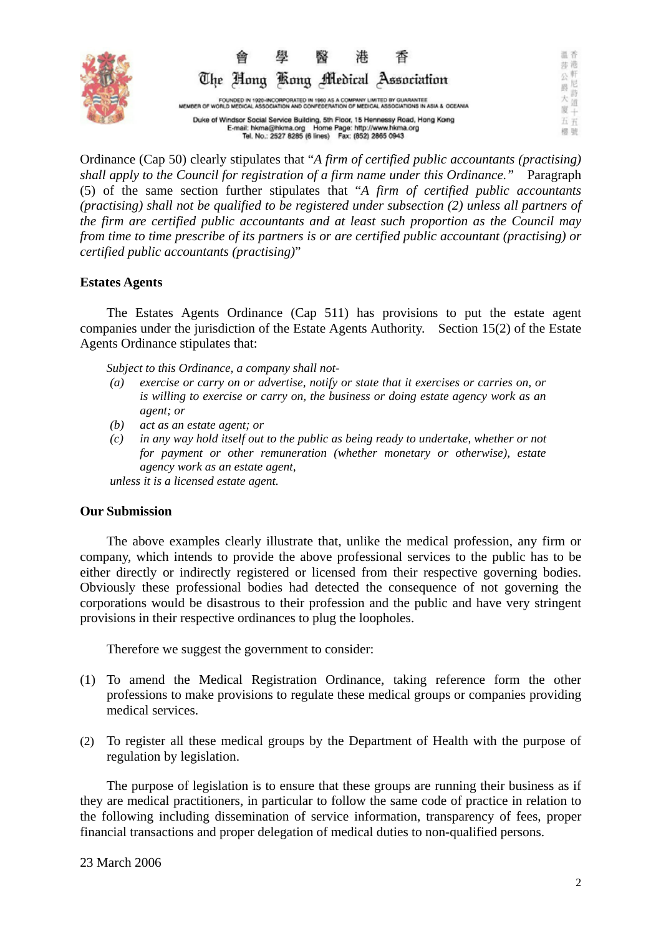

温香 莎港 公會尼 The Hong Kong Medical Association 爵 詩 大 FOUNDED IN 1920-INCORPORATED IN 1960 AS A COMPANY LIMITED BY GUARANTEE<br>MEMBER OF WORLD MEDICAL ASSOCIATION AND CONFEDERATION OF MEDICAL ASSOCIATIONS IN ASIA & OCEANIA 道 厦半 Duke of Windsor Social Service Building, 5th Floor, 15 Hennessy Road, Hong Kong 五五 E-mail: hkma@hkma.org Home Page: http://www.hkma.org<br>E-mail: hkma@hkma.org Home Page: http://www.hkma.org<br>Tel. No.: 2527 8285 (6 lines) Fax: (852) 2865 0943 棉號

Ordinance (Cap 50) clearly stipulates that "*A firm of certified public accountants (practising) shall apply to the Council for registration of a firm name under this Ordinance."* Paragraph (5) of the same section further stipulates that "*A firm of certified public accountants (practising) shall not be qualified to be registered under subsection (2) unless all partners of the firm are certified public accountants and at least such proportion as the Council may from time to time prescribe of its partners is or are certified public accountant (practising) or certified public accountants (practising)*"

## **Estates Agents**

 The Estates Agents Ordinance (Cap 511) has provisions to put the estate agent companies under the jurisdiction of the Estate Agents Authority. Section 15(2) of the Estate Agents Ordinance stipulates that:

*Subject to this Ordinance, a company shall not-* 

- *(a) exercise or carry on or advertise, notify or state that it exercises or carries on, or is willing to exercise or carry on, the business or doing estate agency work as an agent; or*
- *(b) act as an estate agent; or*
- *(c) in any way hold itself out to the public as being ready to undertake, whether or not for payment or other remuneration (whether monetary or otherwise), estate agency work as an estate agent,*

*unless it is a licensed estate agent.* 

## **Our Submission**

 The above examples clearly illustrate that, unlike the medical profession, any firm or company, which intends to provide the above professional services to the public has to be either directly or indirectly registered or licensed from their respective governing bodies. Obviously these professional bodies had detected the consequence of not governing the corporations would be disastrous to their profession and the public and have very stringent provisions in their respective ordinances to plug the loopholes.

Therefore we suggest the government to consider:

- (1) To amend the Medical Registration Ordinance, taking reference form the other professions to make provisions to regulate these medical groups or companies providing medical services.
- (2) To register all these medical groups by the Department of Health with the purpose of regulation by legislation.

The purpose of legislation is to ensure that these groups are running their business as if they are medical practitioners, in particular to follow the same code of practice in relation to the following including dissemination of service information, transparency of fees, proper financial transactions and proper delegation of medical duties to non-qualified persons.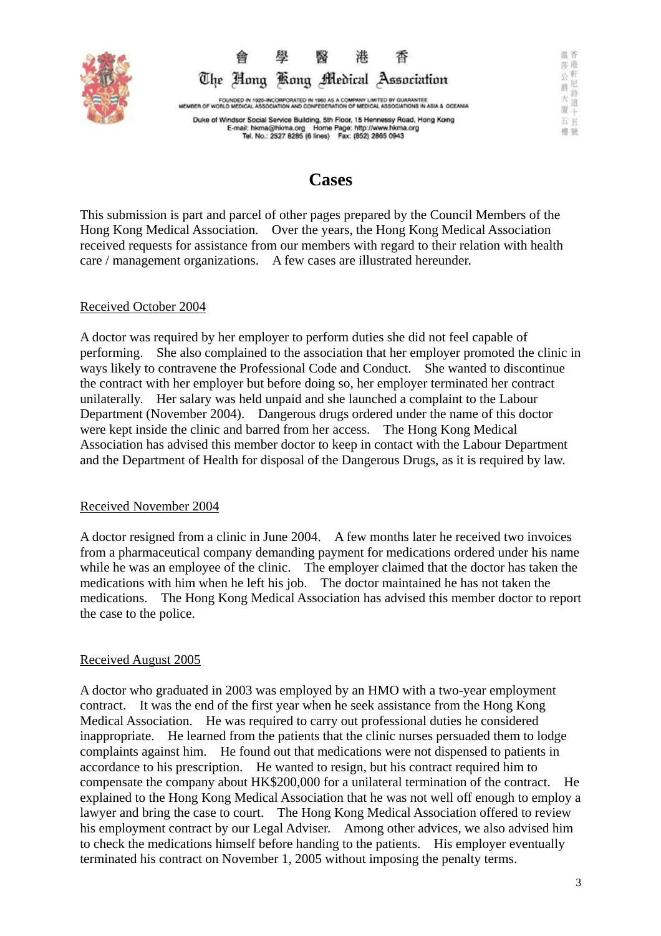



Duke of Windsor Social Service Building, 5th Floor, 15 Hennessy Road, Hong Kong<br>E-mail: hkma@hkma.org Home Page: http://www.hkma.org<br>Tel. No.: 2527 8285 (6 lines) Fax: (852) 2865 0943

# **Cases**

This submission is part and parcel of other pages prepared by the Council Members of the Hong Kong Medical Association. Over the years, the Hong Kong Medical Association received requests for assistance from our members with regard to their relation with health care / management organizations. A few cases are illustrated hereunder.

## Received October 2004

A doctor was required by her employer to perform duties she did not feel capable of performing. She also complained to the association that her employer promoted the clinic in ways likely to contravene the Professional Code and Conduct. She wanted to discontinue the contract with her employer but before doing so, her employer terminated her contract unilaterally. Her salary was held unpaid and she launched a complaint to the Labour Department (November 2004). Dangerous drugs ordered under the name of this doctor were kept inside the clinic and barred from her access. The Hong Kong Medical Association has advised this member doctor to keep in contact with the Labour Department and the Department of Health for disposal of the Dangerous Drugs, as it is required by law.

## Received November 2004

A doctor resigned from a clinic in June 2004. A few months later he received two invoices from a pharmaceutical company demanding payment for medications ordered under his name while he was an employee of the clinic. The employer claimed that the doctor has taken the medications with him when he left his job. The doctor maintained he has not taken the medications. The Hong Kong Medical Association has advised this member doctor to report the case to the police.

## Received August 2005

A doctor who graduated in 2003 was employed by an HMO with a two-year employment contract. It was the end of the first year when he seek assistance from the Hong Kong Medical Association. He was required to carry out professional duties he considered inappropriate. He learned from the patients that the clinic nurses persuaded them to lodge complaints against him. He found out that medications were not dispensed to patients in accordance to his prescription. He wanted to resign, but his contract required him to compensate the company about HK\$200,000 for a unilateral termination of the contract. He explained to the Hong Kong Medical Association that he was not well off enough to employ a lawyer and bring the case to court. The Hong Kong Medical Association offered to review his employment contract by our Legal Adviser. Among other advices, we also advised him to check the medications himself before handing to the patients. His employer eventually terminated his contract on November 1, 2005 without imposing the penalty terms.

温香 莎港 公會尼

爵 j5 大

道 N.

五五 橙號